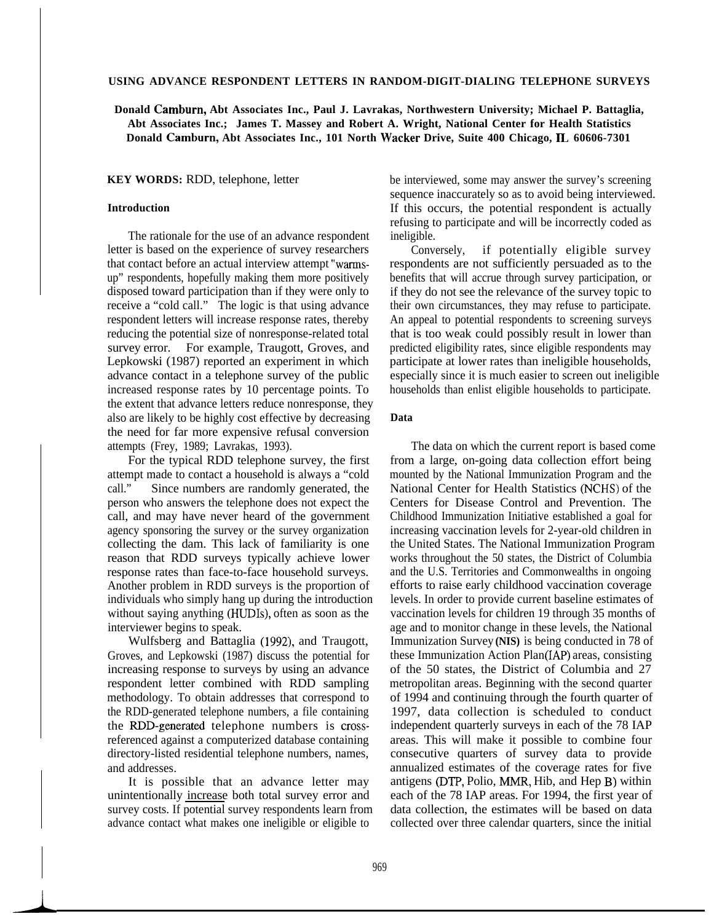#### **USING ADVANCE RESPONDENT LETTERS IN RANDOM-DIGIT-DIALING TELEPHONE SURVEYS**

# **Donald Camburn, Abt Associates Inc., Paul J. Lavrakas, Northwestern University; Michael P. Battaglia, Abt Associates Inc.; James T. Massey and Robert A. Wright, National Center for Health Statistics Donald Camburn, Abt Associates Inc., 101 North Wacker Drive, Suite 400 Chicago, IL 60606-7301**

**KEY WORDS:** RDD, telephone, letter

### **Introduction**

The rationale for the use of an advance respondent letter is based on the experience of survey researchers that contact before an actual interview attempt "warmsup" respondents, hopefully making them more positively disposed toward participation than if they were only to receive a "cold call." The logic is that using advance respondent letters will increase response rates, thereby reducing the potential size of nonresponse-related total survey error. For example, Traugott, Groves, and Lepkowski (1987) reported an experiment in which advance contact in a telephone survey of the public increased response rates by 10 percentage points. To the extent that advance letters reduce nonresponse, they also are likely to be highly cost effective by decreasing the need for far more expensive refusal conversion attempts (Frey, 1989; Lavrakas, 1993).

For the typical RDD telephone survey, the first attempt made to contact a household is always a "cold call." Since numbers are randomly generated, the person who answers the telephone does not expect the call, and may have never heard of the government agency sponsoring the survey or the survey organization collecting the dam. This lack of familiarity is one reason that RDD surveys typically achieve lower response rates than face-to-face household surveys. Another problem in RDD surveys is the proportion of individuals who simply hang up during the introduction without saying anything (HUDIs), often as soon as the interviewer begins to speak.

Wulfsberg and Battaglia (1992), and Traugott, Groves, and Lepkowski (1987) discuss the potential for increasing response to surveys by using an advance respondent letter combined with RDD sampling methodology. To obtain addresses that correspond to the RDD-generated telephone numbers, a file containing the RDD-generated telephone numbers is crossreferenced against a computerized database containing directory-listed residential telephone numbers, names, and addresses.

It is possible that an advance letter may unintentionally increase both total survey error and survey costs. If potential survey respondents learn from advance contact what makes one ineligible or eligible to

be interviewed, some may answer the survey's screening sequence inaccurately so as to avoid being interviewed. If this occurs, the potential respondent is actually refusing to participate and will be incorrectly coded as ineligible.

Conversely, if potentially eligible survey respondents are not sufficiently persuaded as to the benefits that will accrue through survey participation, or if they do not see the relevance of the survey topic to their own circumstances, they may refuse to participate. An appeal to potential respondents to screening surveys that is too weak could possibly result in lower than predicted eligibility rates, since eligible respondents may participate at lower rates than ineligible households, especially since it is much easier to screen out ineligible households than enlist eligible households to participate.

## **Data**

The data on which the current report is based come from a large, on-going data collection effort being mounted by the National Immunization Program and the National Center for Health Statistics (NCHS) of the Centers for Disease Control and Prevention. The Childhood Immunization Initiative established a goal for increasing vaccination levels for 2-year-old children in the United States. The National Immunization Program works throughout the 50 states, the District of Columbia and the U.S. Territories and Commonwealths in ongoing efforts to raise early childhood vaccination coverage levels. In order to provide current baseline estimates of vaccination levels for children 19 through 35 months of age and to monitor change in these levels, the National Immunization Survey **(NIS)** is being conducted in 78 of these Immunization Action Plan(IAP) areas, consisting of the 50 states, the District of Columbia and 27 metropolitan areas. Beginning with the second quarter of 1994 and continuing through the fourth quarter of 1997, data collection is scheduled to conduct independent quarterly surveys in each of the 78 IAP areas. This will make it possible to combine four consecutive quarters of survey data to provide annualized estimates of the coverage rates for five antigens (DTP, Polio, MMR, Hib, and Hep B) within each of the 78 IAP areas. For 1994, the first year of data collection, the estimates will be based on data collected over three calendar quarters, since the initial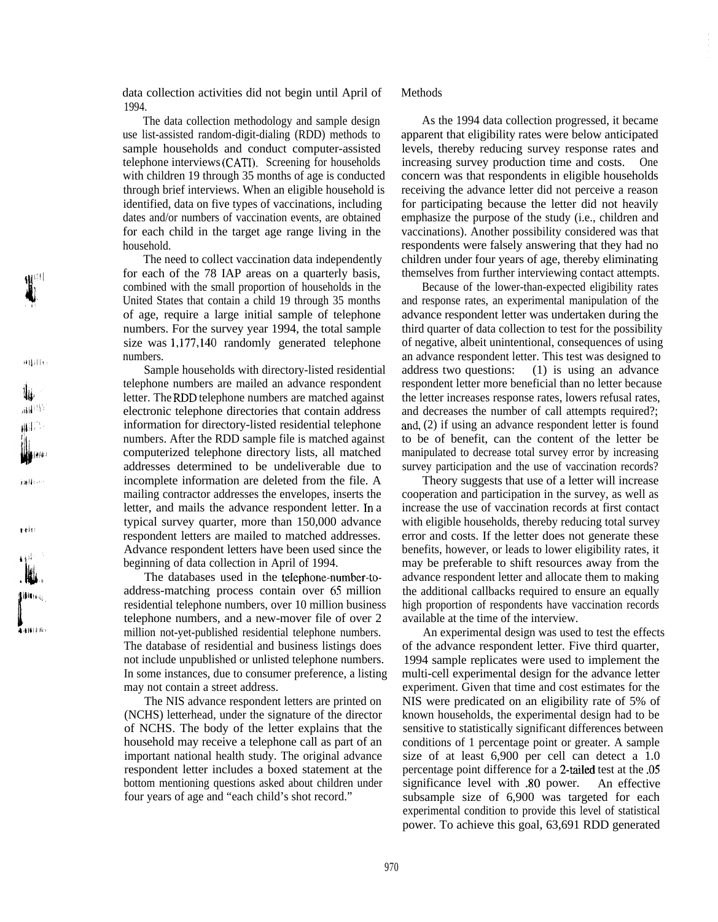970

data collection activities did not begin until April of 1994.

The data collection methodology and sample design use list-assisted random-digit-dialing (RDD) methods to sample households and conduct computer-assisted telephone interviews (CATI). Screening for households with children 19 through 35 months of age is conducted through brief interviews. When an eligible household is identified, data on five types of vaccinations, including dates and/or numbers of vaccination events, are obtained for each child in the target age range living in the household.

The need to collect vaccination data independently for each of the 78 IAP areas on a quarterly basis, combined with the small proportion of households in the United States that contain a child 19 through 35 months of age, require a large initial sample of telephone numbers. For the survey year 1994, the total sample size was 1,177,140 randomly generated telephone numbers.

Sample households with directory-listed residential telephone numbers are mailed an advance respondent letter. The RDD telephone numbers are matched against electronic telephone directories that contain address information for directory-listed residential telephone numbers. After the RDD sample file is matched against computerized telephone directory lists, all matched addresses determined to be undeliverable due to incomplete information are deleted from the file. A mailing contractor addresses the envelopes, inserts the letter, and mails the advance respondent letter. In a typical survey quarter, more than 150,000 advance respondent letters are mailed to matched addresses. Advance respondent letters have been used since the beginning of data collection in April of 1994.

The databases used in the telephone-number-toaddress-matching process contain over 65 million residential telephone numbers, over 10 million business telephone numbers, and a new-mover file of over 2 million not-yet-published residential telephone numbers. The database of residential and business listings does not include unpublished or unlisted telephone numbers. In some instances, due to consumer preference, a listing may not contain a street address.

The NIS advance respondent letters are printed on (NCHS) letterhead, under the signature of the director of NCHS. The body of the letter explains that the household may receive a telephone call as part of an important national health study. The original advance respondent letter includes a boxed statement at the bottom mentioning questions asked about children under four years of age and "each child's shot record."

# Methods

As the 1994 data collection progressed, it became apparent that eligibility rates were below anticipated levels, thereby reducing survey response rates and increasing survey production time and costs. One concern was that respondents in eligible households receiving the advance letter did not perceive a reason for participating because the letter did not heavily emphasize the purpose of the study (i.e., children and vaccinations). Another possibility considered was that respondents were falsely answering that they had no children under four years of age, thereby eliminating themselves from further interviewing contact attempts.

Because of the lower-than-expected eligibility rates and response rates, an experimental manipulation of the advance respondent letter was undertaken during the third quarter of data collection to test for the possibility of negative, albeit unintentional, consequences of using an advance respondent letter. This test was designed to address two questions: (1) is using an advance respondent letter more beneficial than no letter because the letter increases response rates, lowers refusal rates, and decreases the number of call attempts required?; and, (2) if using an advance respondent letter is found to be of benefit, can the content of the letter be manipulated to decrease total survey error by increasing survey participation and the use of vaccination records?

Theory suggests that use of a letter will increase cooperation and participation in the survey, as well as increase the use of vaccination records at first contact with eligible households, thereby reducing total survey error and costs. If the letter does not generate these benefits, however, or leads to lower eligibility rates, it may be preferable to shift resources away from the advance respondent letter and allocate them to making the additional callbacks required to ensure an equally high proportion of respondents have vaccination records available at the time of the interview.

An experimental design was used to test the effects of the advance respondent letter. Five third quarter, 1994 sample replicates were used to implement the multi-cell experimental design for the advance letter experiment. Given that time and cost estimates for the NIS were predicated on an eligibility rate of 5% of known households, the experimental design had to be sensitive to statistically significant differences between conditions of 1 percentage point or greater. A sample size of at least 6,900 per cell can detect a 1.0 percentage point difference for a 2-tailed test at the .05 significance level with .80 power. An effective subsample size of 6,900 was targeted for each experimental condition to provide this level of statistical power. To achieve this goal, 63,691 RDD generated

 $\mathbf{r}\cdot\mathbf{r}$  is:

Hilling

r<br>La Bil∤ife

(('I'1 **1.**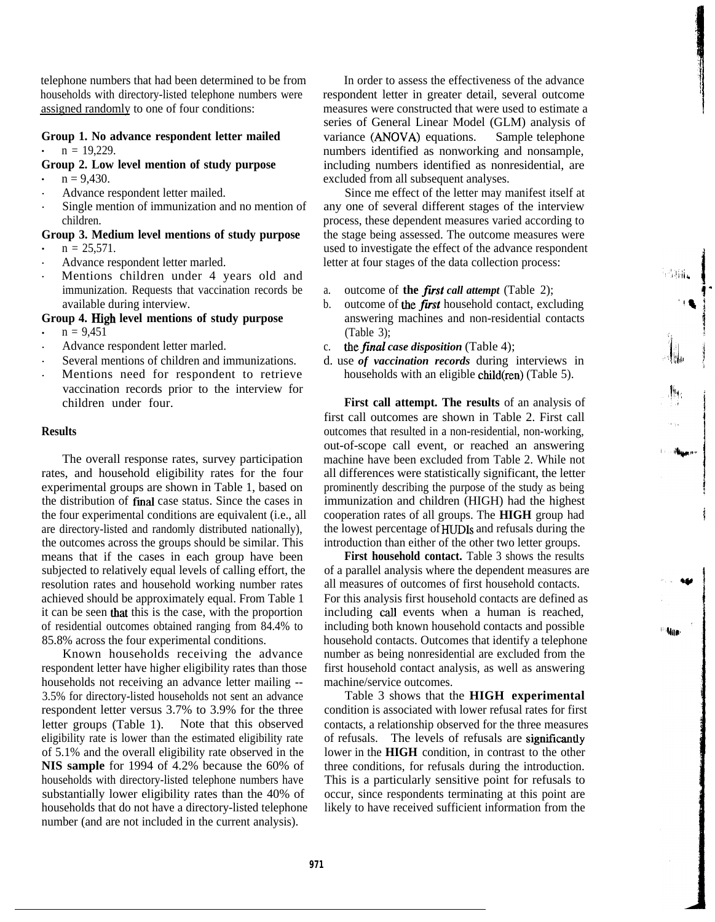telephone numbers that had been determined to be from households with directory-listed telephone numbers were assigned randomly to one of four conditions:

# **Group 1. No advance respondent letter mailed**  $n = 19,229$ .

## **Group 2. Low level mention of study purpose**

- $n = 9,430.$
- . Advance respondent letter mailed.
- . Single mention of immunization and no mention of children.

#### **Group 3. Medium level mentions of study purpose**  $n = 25.571$ .

- . Advance respondent letter marled.
- . Mentions children under 4 years old and immunization. Requests that vaccination records be available during interview.

## **Group 4. High level mentions of study purpose**

- $n = 9.451$
- . Advance respondent letter marled.
- . Several mentions of children and immunizations.
- . Mentions need for respondent to retrieve vaccination records prior to the interview for children under four.

## **Results**

The overall response rates, survey participation rates, and household eligibility rates for the four experimental groups are shown in Table 1, based on the distribution of final case status. Since the cases in the four experimental conditions are equivalent (i.e., all are directory-listed and randomly distributed nationally), the outcomes across the groups should be similar. This means that if the cases in each group have been subjected to relatively equal levels of calling effort, the resolution rates and household working number rates achieved should be approximately equal. From Table 1 it can be seen that this is the case, with the proportion of residential outcomes obtained ranging from 84.4% to 85.8% across the four experimental conditions.

Known households receiving the advance respondent letter have higher eligibility rates than those households not receiving an advance letter mailing -- 3.5% for directory-listed households not sent an advance respondent letter versus 3.7% to 3.9% for the three letter groups (Table 1). Note that this observed eligibility rate is lower than the estimated eligibility rate of 5.1% and the overall eligibility rate observed in the **NIS sample** for 1994 of 4.2% because the 60% of households with directory-listed telephone numbers have substantially lower eligibility rates than the 40% of households that do not have a directory-listed telephone number (and are not included in the current analysis).

In order to assess the effectiveness of the advance respondent letter in greater detail, several outcome measures were constructed that were used to estimate a series of General Linear Model (GLM) analysis of variance (ANOVA) equations. Sample telephone numbers identified as nonworking and nonsample, including numbers identified as nonresidential, are excluded from all subsequent analyses.

Since me effect of the letter may manifest itself at any one of several different stages of the interview process, these dependent measures varied according to the stage being assessed. The outcome measures were used to investigate the effect of the advance respondent letter at four stages of the data collection process:

- a. outcome of **the** first *call attempt* (Table 2);
- b. outcome of the *first* household contact, excluding answering machines and non-residential contacts (Table 3);
- c. *thefinal case disposition* (Table 4);
- d. use *of vaccination records* during interviews in households with an eligible child(ren) (Table 5).

**First call attempt. The results** of an analysis of first call outcomes are shown in Table 2. First call outcomes that resulted in a non-residential, non-working, out-of-scope call event, or reached an answering machine have been excluded from Table 2. While not all differences were statistically significant, the letter prominently describing the purpose of the study as being immunization and children (HIGH) had the highest cooperation rates of all groups. The **HIGH** group had the lowest percentage of HUDIs and refusals during the introduction than either of the other two letter groups.

**First household contact.** Table 3 shows the results of a parallel analysis where the dependent measures are all measures of outcomes of first household contacts. For this analysis first household contacts are defined as including call events when a human is reached, including both known household contacts and possible household contacts. Outcomes that identify a telephone number as being nonresidential are excluded from the first household contact analysis, as well as answering machine/service outcomes.

**Mate** 

Table 3 shows that the **HIGH experimental** condition is associated with lower refusal rates for first contacts, a relationship observed for the three measures of refusals. The levels of refusals are signiticantly lower in the **HIGH** condition, in contrast to the other three conditions, for refusals during the introduction. This is a particularly sensitive point for refusals to occur, since respondents terminating at this point are likely to have received sufficient information from the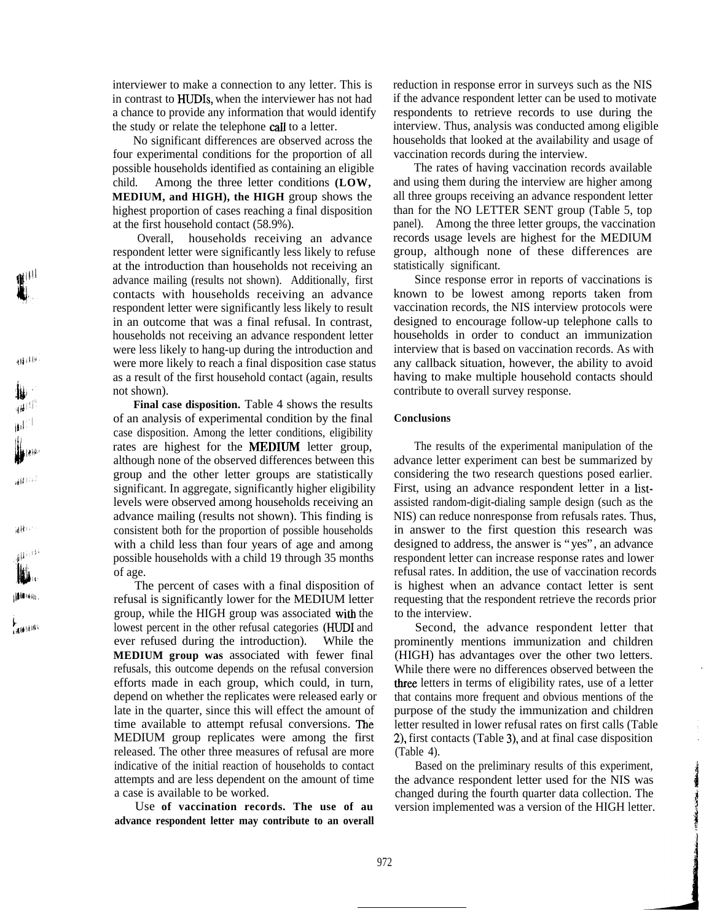interviewer to make a connection to any letter. This is in contrast to HUDIs, when the interviewer has not had a chance to provide any information that would identify the study or relate the telephone call to a letter.

No significant differences are observed across the four experimental conditions for the proportion of all possible households identified as containing an eligible child. Among the three letter conditions **(LOW, MEDIUM, and HIGH), the HIGH** group shows the highest proportion of cases reaching a final disposition at the first household contact (58.9%).

Overall, households receiving an advance respondent letter were significantly less likely to refuse at the introduction than households not receiving an advance mailing (results not shown). Additionally, first contacts with households receiving an advance respondent letter were significantly less likely to result in an outcome that was a final refusal. In contrast, households not receiving an advance respondent letter were less likely to hang-up during the introduction and were more likely to reach a final disposition case status as a result of the first household contact (again, results not shown).

相相地

ألجاؤ

أمتالهن

副静脉的

نفشتها

排排压缩。

\$<br>Galdianni

Final case disposition. Table 4 shows the results of an analysis of experimental condition by the final case disposition. Among the letter conditions, eligibility rates are highest for the MEDJUM letter group, although none of the observed differences between this group and the other letter groups are statistically significant. In aggregate, significantly higher eligibility levels were observed among households receiving an advance mailing (results not shown). This finding is consistent both for the proportion of possible households with a child less than four years of age and among possible households with a child 19 through 35 months of age.

The percent of cases with a final disposition of refusal is significantly lower for the MEDIUM letter group, while the HIGH group was associated with the lowest percent in the other refusal categories (HUD1 and ever refused during the introduction). While the **MEDIUM group was** associated with fewer final refusals, this outcome depends on the refusal conversion efforts made in each group, which could, in turn, depend on whether the replicates were released early or late in the quarter, since this will effect the amount of time available to attempt refusal conversions. The MEDIUM group replicates were among the first released. The other three measures of refusal are more indicative of the initial reaction of households to contact attempts and are less dependent on the amount of time a case is available to be worked.

Use **of vaccination records. The use of au advance respondent letter may contribute to an overall** reduction in response error in surveys such as the NIS if the advance respondent letter can be used to motivate respondents to retrieve records to use during the interview. Thus, analysis was conducted among eligible households that looked at the availability and usage of vaccination records during the interview.

The rates of having vaccination records available and using them during the interview are higher among all three groups receiving an advance respondent letter than for the NO LETTER SENT group (Table 5, top panel). Among the three letter groups, the vaccination records usage levels are highest for the MEDIUM group, although none of these differences are statistically significant.

Since response error in reports of vaccinations is known to be lowest among reports taken from vaccination records, the NIS interview protocols were designed to encourage follow-up telephone calls to households in order to conduct an immunization interview that is based on vaccination records. As with any callback situation, however, the ability to avoid having to make multiple household contacts should contribute to overall survey response.

## **Conclusions**

The results of the experimental manipulation of the advance letter experiment can best be summarized by considering the two research questions posed earlier. First, using an advance respondent letter in a listassisted random-digit-dialing sample design (such as the NIS) can reduce nonresponse from refusals rates. Thus, in answer to the first question this research was designed to address, the answer is "yes", an advance respondent letter can increase response rates and lower refusal rates. In addition, the use of vaccination records is highest when an advance contact letter is sent requesting that the respondent retrieve the records prior to the interview.

Second, the advance respondent letter that prominently mentions immunization and children (HIGH) has advantages over the other two letters. While there were no differences observed between the three letters in terms of eligibility rates, use of a letter that contains more frequent and obvious mentions of the purpose of the study the immunization and children letter resulted in lower refusal rates on first calls (Table 2), first contacts (Table 3), and at final case disposition (Table 4).

Based on the preliminary results of this experiment, the advance respondent letter used for the NIS was changed during the fourth quarter data collection. The version implemented was a version of the HIGH letter.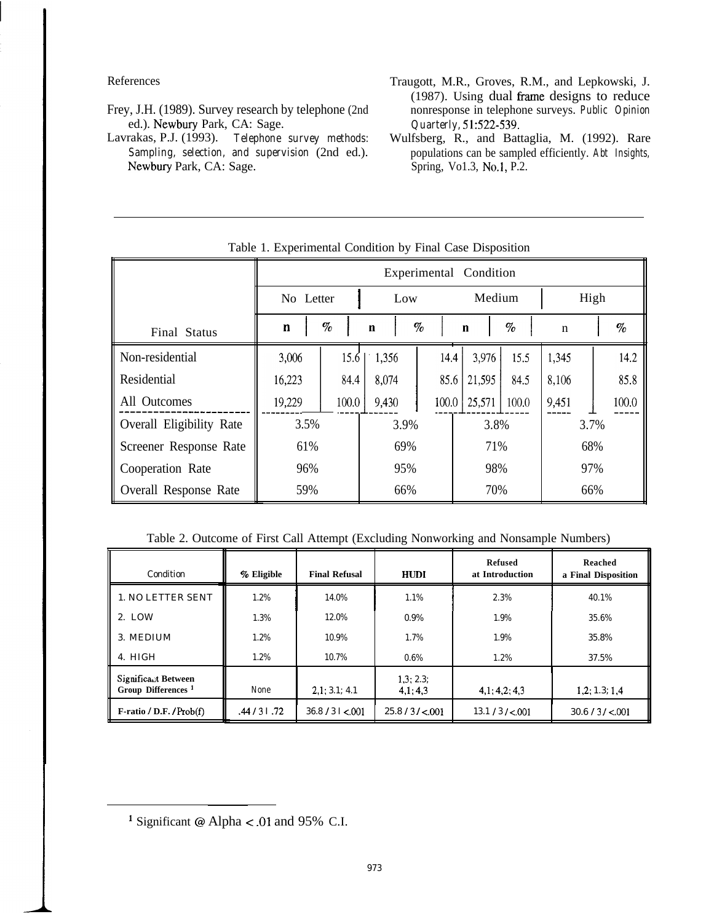References

- Frey, J.H. (1989). Survey research by telephone (2nd ed.). Newbury Park, CA: Sage.
- Telephone survey methods: Lavrakas, P.J. (1993). Sampling, selection, and supervision (2nd ed.). Newbury Park, CA: Sage.
- Traugott, M.R., Groves, R.M., and Lepkowski, J. (1987). Using dual frame designs to reduce nonresponse in telephone surveys. Public Opinion Quarterly, 51:522-539.
- Wulfsberg, R., and Battaglia, M. (1992). Rare populations can be sampled efficiently. Abt Insights, Spring, Vo1.3, No.1, P.2.

| $\ldots$                 |                        |       |             |       |             |       |             |  |       |
|--------------------------|------------------------|-------|-------------|-------|-------------|-------|-------------|--|-------|
|                          | Experimental Condition |       |             |       |             |       |             |  |       |
|                          | No Letter              |       | Low         |       | Medium      |       | High        |  |       |
| Final Status             | $\mathbf{n}$           | $\%$  | $\mathbf n$ | $\%$  | $\mathbf n$ | $\%$  | $\mathbf n$ |  | $\%$  |
| Non-residential          | 3,006                  | 15.6  | 1,356       | 14.4  | 3,976       | 15.5  | 1,345       |  | 14.2  |
| Residential              | 16,223                 | 84.4  | 8,074       | 85.6  | 21,595      | 84.5  | 8,106       |  | 85.8  |
| All Outcomes             | 19,229                 | 100.0 | 9,430       | 100.0 | 25,571      | 100.0 | 9,451       |  | 100.0 |
| Overall Eligibility Rate | 3.5%                   |       | 3.9%        |       | 3.8%        |       | 3.7%        |  |       |
| Screener Response Rate   | 61%                    |       | 69%         |       | 71%         |       | 68%         |  |       |
| Cooperation Rate         | 96%                    |       | 95%         |       | 98%         |       | 97%         |  |       |
| Overall Response Rate    | 59%                    |       | 66%         |       | 70%         |       | 66%         |  |       |

Table 1. Experimental Condition by Final Case Disposition

# Table 2. Outcome of First Call Attempt (Excluding Nonworking and Nonsample Numbers)

| Condition                                             | % Eligible    | <b>Final Refusal</b> | <b>HUDI</b>          | Refused<br>at Introduction | Reached<br>a Final Disposition |
|-------------------------------------------------------|---------------|----------------------|----------------------|----------------------------|--------------------------------|
| 1. NO LETTER SENT                                     | 1.2%          | 14.0%                | 1.1%                 | 2.3%                       | 40.1%                          |
| 2. LOW                                                | 1.3%          | 12.0%                | 0.9%                 | 1.9%                       | 35.6%                          |
| 3. MEDIUM                                             | 1.2%          | 10.9%                | 1.7%                 | 1.9%                       | 35.8%                          |
| 4. HIGH                                               | 1.2%          | 10.7%                | $0.6\%$              | 1.2%                       | 37.5%                          |
| Significant Between<br>Group Differences <sup>1</sup> | None          | 2,1:3.1;4.1          | 1,3; 2.3;<br>4,1:4,3 | 4,1; 4,2; 4,3              | 1,2; 1.3; 1.4                  |
| $F$ -ratio / D.F. / Prob(f)                           | .44 / 3 1 .72 | 36.8 / 31 < 001      | 25.8 / 3 / < 001     | $13.1 / 3 / \leq 001$      | 30.6 / 3 / < 001               |

<sup>&</sup>lt;sup>1</sup> Significant @ Alpha < .01 and 95% C.I.